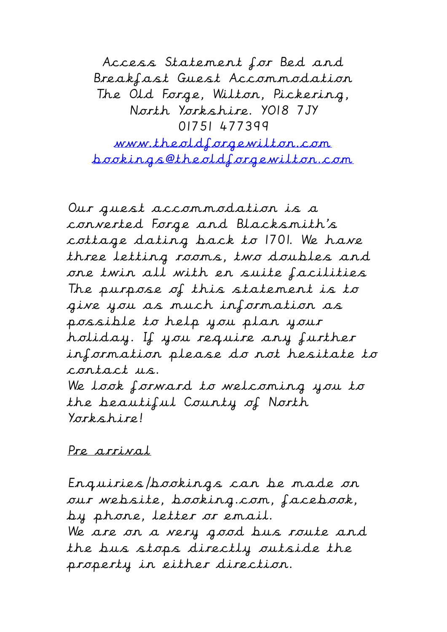Access Statement for Bed and Breakfast Guest Accommodation The Old Forge, Wilton, Pickering, North Yorkshire. YO18 7JY 01751 477399

www.theoldforgewilton.com bookings@theoldforgewilton.com

Our guest accommodation is a converted Forge and Blacksmith's cottage dating back to 1701. We have three letting rooms, two doubles and one twin all with en suite facilities The purpose of this statement is to give you as much information as possible to help you plan your holiday. If you require any further information please do not hesitate to contact us. We look forward to welcoming you to the beautiful County of North Yorkshire!

## Pre arrival

Enquiries/bookings can be made on our website, booking.com, facebook, by phone, letter or email. We are on a very good bus route and the bus stops directly outside the property in either direction.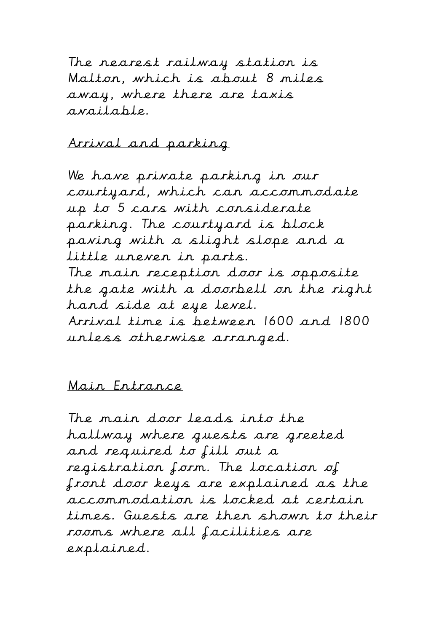The nearest railway station is Malton, which is about 8 miles away, where there are taxis available.

Arrival and parking

We have private parking in our courtyard, which can accommodate up to 5 cars with considerate parking. The courtyard is block paving with a slight slope and a little uneven in parts. The main reception door is opposite the gate with a doorbell on the right hand side at eye level. Arrival time is between 1600 and 1800 unless otherwise arranged.

## Main Entrance

The main door leads into the hallway where guests are greeted and required to fill out a registration form. The location of front door keys are explained as the accommodation is locked at certain times. Guests are then shown to their rooms where all facilities are explained.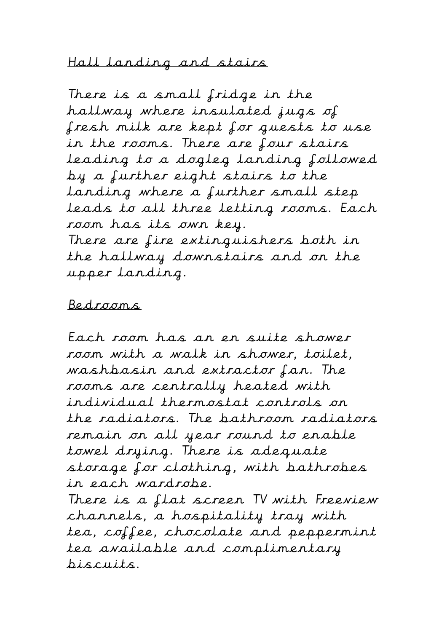Hall landing and stairs

There is a small fridge in the hallway where insulated jugs of fresh milk are kept for guests to use in the rooms. There are four stairs leading to a dogleg landing followed by a further eight stairs to the landing where a further small step leads to all three letting rooms. Each room has its own key. There are fire extinguishers both in the hallway downstairs and on the upper landing.

Bedrooms

Each room has an en suite shower room with a walk in shower, toilet, washbasin and extractor fan. The rooms are centrally heated with individual thermostat controls on the radiators. The bathroom radiators remain on all year round to enable towel drying. There is adequate storage for clothing, with bathrobes in each wardrobe.

There is a flat screen TV with Freeview channels, a hospitality tray with tea, coffee, chocolate and peppermint tea available and complimentary biscuits.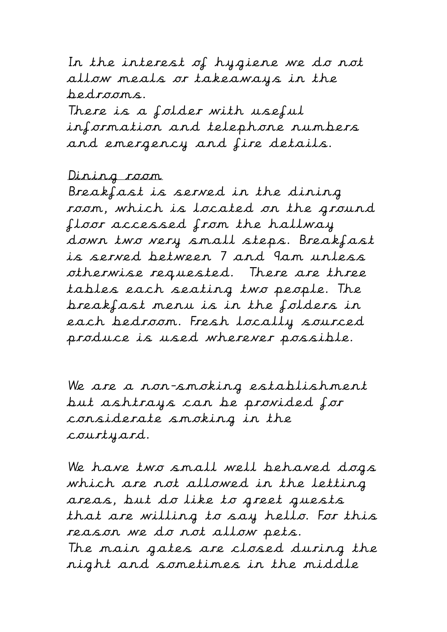In the interest of hygiene we do not allow meals or takeaways in the bedrooms. There is a folder with useful information and telephone numbers and emergency and fire details.

## Dining room

Breakfast is served in the dining room, which is located on the ground floor accessed from the hallway down two very small steps. Breakfast is served between 7 and 9am unless otherwise requested. There are three tables each seating two people. The breakfast menu is in the folders in each bedroom. Fresh locally sourced produce is used wherever possible.

We are a non-smoking establishment but ashtrays can be provided for considerate smoking in the courtyard.

We have two small well behaved dogs which are not allowed in the letting areas, but do like to greet guests that are willing to say hello. For this reason we do not allow pets. The main gates are closed during the night and sometimes in the middle